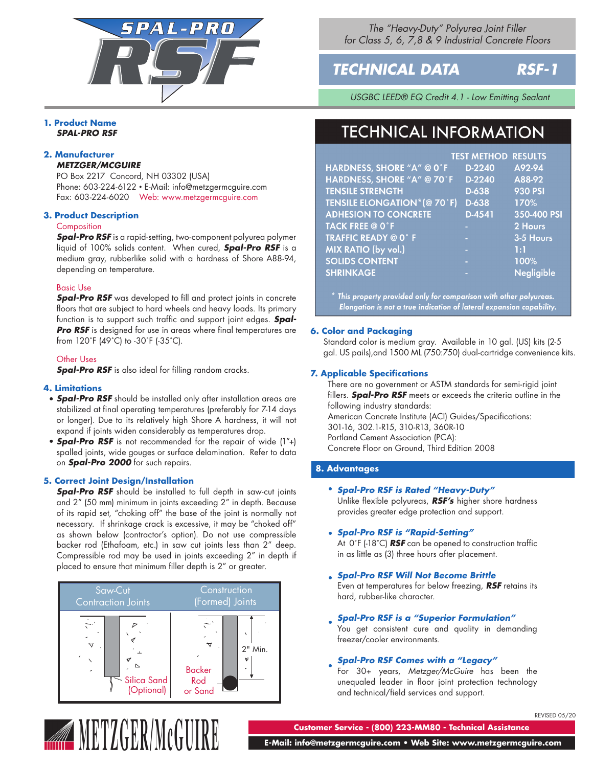

*The "Heavy-Duty" Polyurea Joint Filler for Class 5, 6, 7,8 & 9 Industrial Concrete Floors*

# *TECHNICAL DATA RSF-1*

*USGBC LEED® EQ Credit 4.1 - Low Emitting Sealant*

# **1. Product Name** *SPAL-PRO RSF*

# **2. Manufacturer** *METZGER/MCGUIRE*

PO Box 2217 Concord, NH 03302 (USA) Phone: 603-224-6122 • E-Mail: info@metzgermcguire.com Fax: 603-224-6020 Web: www.metzgermcguire.com

# **3. Product Description**

# **Composition**

*Spal-Pro RSF* is a rapid-setting, two-component polyurea polymer liquid of 100% solids content. When cured, *Spal-Pro RSF* is a medium gray, rubberlike solid with a hardness of Shore A88-94, depending on temperature.

# Basic Use

*Spal-Pro RSF* was developed to fill and protect joints in concrete floors that are subject to hard wheels and heavy loads. Its primary function is to support such traffic and support joint edges. *Spal-***Pro RSF** is designed for use in areas where final temperatures are from 120˚F (49˚C) to -30˚F (-35˚C).

# Other Uses

**Spal-Pro RSF** is also ideal for filling random cracks.

# **4. Limitations**

- *Spal-Pro RSF* should be installed only after installation areas are stabilized at final operating temperatures (preferably for 7-14 days or longer). Due to its relatively high Shore A hardness, it will not expand if joints widen considerably as temperatures drop.
- **Spal-Pro RSF** is not recommended for the repair of wide (1"+) spalled joints, wide gouges or surface delamination. Refer to data on *Spal-Pro 2000* for such repairs.

# **5. Correct Joint Design/Installation**

**Spal-Pro RSF** should be installed to full depth in saw-cut joints and 2" (50 mm) minimum in joints exceeding 2" in depth. Because of its rapid set, "choking off" the base of the joint is normally not necessary. If shrinkage crack is excessive, it may be "choked off" as shown below (contractor's option). Do not use compressible backer rod (Ethafoam, etc.) in saw cut joints less than 2" deep. Compressible rod may be used in joints exceeding 2" in depth if placed to ensure that minimum filler depth is 2" or greater.



# **TECHNICAL INFORMATION**

|                                    | <b>TEST METHOD RESULTS</b> |                   |
|------------------------------------|----------------------------|-------------------|
| HARDNESS, SHORE "A" @ 0°F          | D-2240                     | A92-94            |
| HARDNESS, SHORE "A" @ 70°F         | D-2240                     | A88-92            |
| <b>TENSILE STRENGTH</b>            | D-638                      | <b>930 PSI</b>    |
| <b>TENSILE ELONGATION*(@ 70°F)</b> | D-638                      | 170%              |
| <b>ADHESION TO CONCRETE</b>        | $D-4541$                   | 350-400 PSI       |
| <b>TACK FREE @ 0°F</b>             |                            | 2 Hours           |
| <b>TRAFFIC READY @ 0°F</b>         |                            | 3-5 Hours         |
| MIX RATIO (by vol.)                | н                          | 1:1               |
| <b>SOLIDS CONTENT</b>              | ×.                         | 100%              |
| <b>SHRINKAGE</b>                   |                            | <b>Negligible</b> |

 $^\ast$  This property provided only for comparison with other polyureas. Elongation is not a true indication of lateral expansion capability.

# **6. Color and Packaging**

Standard color is medium gray. Available in 10 gal. (US) kits (2-5 gal. US pails),and 1500 ML (750:750) dual-cartridge convenience kits.

# **7. Applicable Specifications**

There are no government or ASTM standards for semi-rigid joint fillers. *Spal-Pro RSF* meets or exceeds the criteria outline in the following industry standards: American Concrete Institute (ACI) Guides/Specifications: 301-16, 302.1-R15, 310-R13, 360R-10 Portland Cement Association (PCA): Concrete Floor on Ground, Third Edition 2008

# **8. Advantages**

# **• Spal-Pro RSF is Rated "Heavy-Duty"**

Unlike flexible polyureas, *RSF's* higher shore hardness provides greater edge protection and support.

# *Spal-Pro RSF is "Rapid-Setting"*  •

At 0˚F (-18˚C) *RSF* can be opened to construction traffic in as little as (3) three hours after placement.

- *Spal-Pro RSF Will Not Become Brittle*  Even at temperatures far below freezing, *RSF* retains its hard, rubber-like character.
- *Spal-Pro RSF is a "Superior Formulation"*  •

You get consistent cure and quality in demanding freezer/cooler environments.

#### *Spal-Pro RSF Comes with a "Legacy"*  •

For 30+ years, *Metzger/McGuire* has been the unequaled leader in floor joint protection technology and technical/field services and support.



**METZGER/McGU** 

**Customer Service - (800) 223-MM80 - Technical Assistance**

 **E-Mail: info@metzgermcguire.com • Web Site: www.metzgermcguire.com**